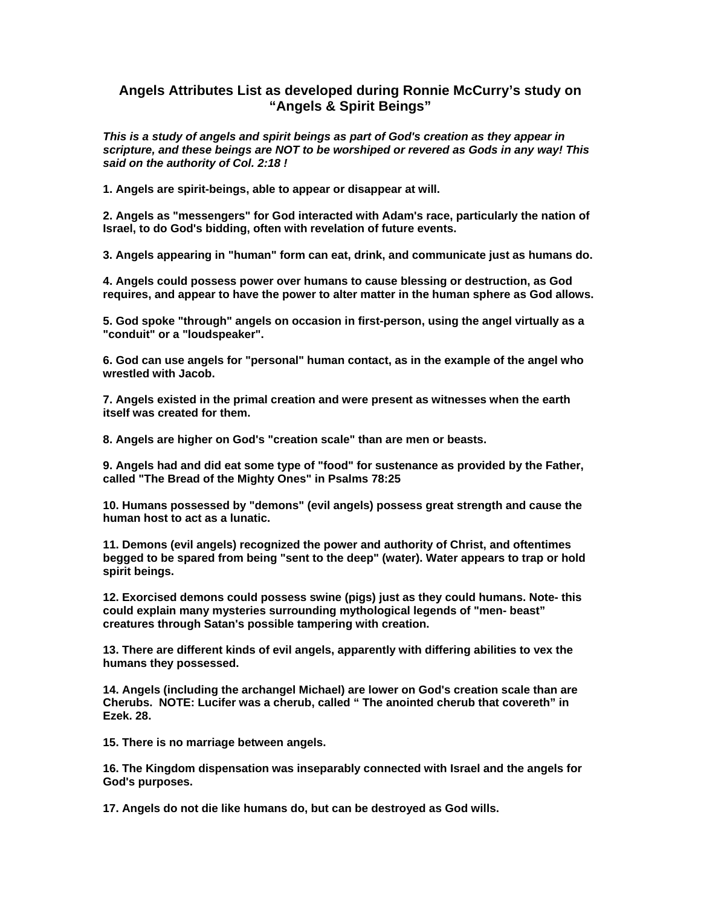## **Angels Attributes List as developed during Ronnie McCurry's study on "Angels & Spirit Beings"**

*This is a study of angels and spirit beings as part of God's creation as they appear in scripture, and these beings are NOT to be worshiped or revered as Gods in any way! This said on the authority of Col. 2:18 !* 

**1. Angels are spirit-beings, able to appear or disappear at will.** 

**2. Angels as "messengers" for God interacted with Adam's race, particularly the nation of Israel, to do God's bidding, often with revelation of future events.** 

**3. Angels appearing in "human" form can eat, drink, and communicate just as humans do.** 

**4. Angels could possess power over humans to cause blessing or destruction, as God requires, and appear to have the power to alter matter in the human sphere as God allows.** 

**5. God spoke "through" angels on occasion in first-person, using the angel virtually as a "conduit" or a "loudspeaker".** 

**6. God can use angels for "personal" human contact, as in the example of the angel who wrestled with Jacob.** 

**7. Angels existed in the primal creation and were present as witnesses when the earth itself was created for them.** 

**8. Angels are higher on God's "creation scale" than are men or beasts.** 

**9. Angels had and did eat some type of "food" for sustenance as provided by the Father, called "The Bread of the Mighty Ones" in Psalms 78:25** 

**10. Humans possessed by "demons" (evil angels) possess great strength and cause the human host to act as a lunatic.** 

**11. Demons (evil angels) recognized the power and authority of Christ, and oftentimes begged to be spared from being "sent to the deep" (water). Water appears to trap or hold spirit beings.** 

**12. Exorcised demons could possess swine (pigs) just as they could humans. Note- this could explain many mysteries surrounding mythological legends of "men- beast" creatures through Satan's possible tampering with creation.** 

**13. There are different kinds of evil angels, apparently with differing abilities to vex the humans they possessed.** 

**14. Angels (including the archangel Michael) are lower on God's creation scale than are Cherubs. NOTE: Lucifer was a cherub, called " The anointed cherub that covereth" in Ezek. 28.** 

**15. There is no marriage between angels.** 

**16. The Kingdom dispensation was inseparably connected with Israel and the angels for God's purposes.** 

**17. Angels do not die like humans do, but can be destroyed as God wills.**